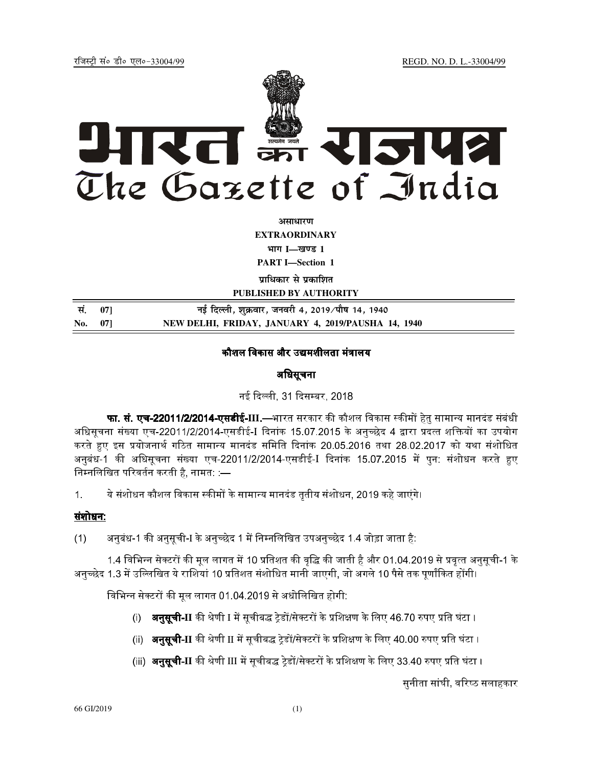jftLVªh laö Mhö ,yö&33004@99 REGD. NO. D. L.-33004/99



**vlk/kj.k EXTRAORDINARY**  $4$ **HTT I**—<br>**light 1** 

**PART I—Section 1** 

**प्राधिकार से प्रकाशित** 

**PUBLISHED BY AUTHORITY**

| सं. 071 | नई दिल्ली, शुक्रवार, जनवरी 4, 2019 ∕ पौष 14, 1940  |
|---------|----------------------------------------------------|
| No. 07] | NEW DELHI, FRIDAY, JANUARY 4, 2019/PAUSHA 14, 1940 |

# कौशल विकास और उद्यमशीलता मंत्रालय

# अधिसूचना

नई दिल्ली, 31 दिसम्बर, 2018.

**फा. सं. एच-22011/2/2014-एसडीई-III**.—भारत सरकार की कौशल विकास स्कीमों हेतु सामान्य मानदंड संबंधी अधिसूचना संख्या एच-22011/2/2014-एसडीई-I दिनांक 15.07.2015 के अनुच्छेद 4 द्वारा प्रदत्त शक्तियों का उपयोग करते हुए इस प्रयोजनार्थ गठित सामान्य मानदंड समिति दिनांक 20.05.2016 तथा 28.02.2017 को यथा संशोधित अनुबंध-1 की अधिसूचना संख्या एच-22011/2/2014-एसडीई-I दिनांक 15.07.2015 में पुन: संशोधन करते हुए निम्नलिखित परिवर्तन करती है. नामत: :—

1. ये संशोधन कौशल विकास स्कीमों के सामान्य मानदंड तृतीय संशोधन, 2019 कहे जाएंगे।

# संशोधन:

(1) अनुबंध-1 की अनुसूची-I के अनुच्छेद 1 में निम्नलिखित उपअनुच्छेद 1.4 जोड़ा जाता है:

1.4 विभिन्न सेक्टरों की मूल लागत में 10 प्रतिशत की वृद्धि की जाती है और 01.04.2019 से प्रवृत्त अनुसूची-1 के अनुच्छेद 1.3 में उल्लिखित ये राशियां 10 प्रतिशत संशोधित मानी जाएगी, जो अगले 10 पैसे तक पूर्णांकित होंगी।

विभिन्न सेक्टरों की मूल लागत 01.04.2019 से अधोलिखित होगी:

- (i) **अनुसूची-II** की श्रेणी I में सूचीबद्ध ट्रेडों/सेक्टरों के प्रशिक्षण के लिए 46.70 रुपए प्रति घंटा ।
- (ii) **अनुसूची-II** की श्रेणी II में सूचीबद्ध ट्रेडों/सेक्टरों के प्रशिक्षण के लिए 40.00 रुपए प्रति घंटा ।
- (iii) **अनुसूची-II** की श्रेणी III में सूचीबद्ध ट्रेडों/सेक्टरों के प्रशिक्षण के लिए 33.40 रुपए प्रति घंटा ।

सुनीता सांघी, वरिष्ठ सलाहकार